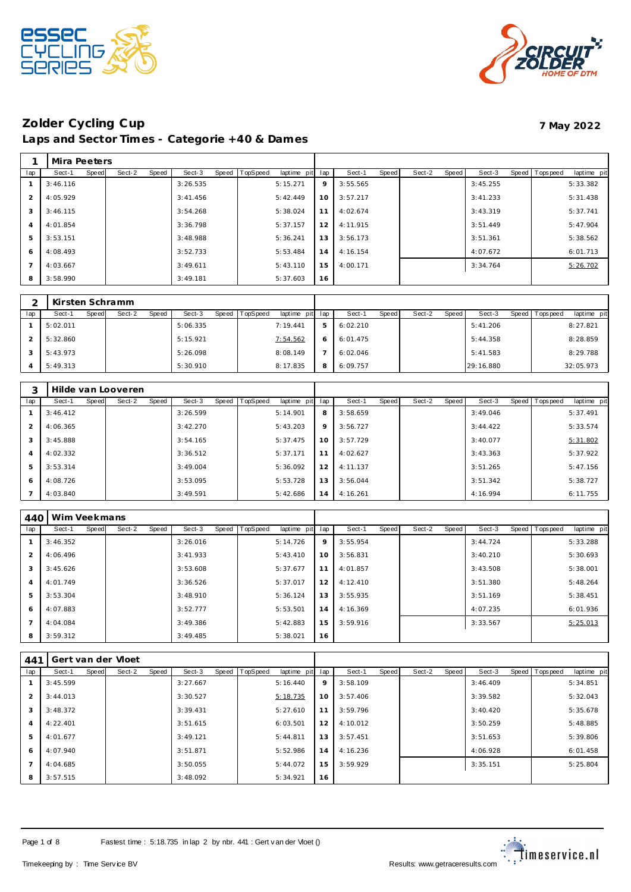



# **Zolder Cycling Cup 7 May 2022**

**Laps and Sector Times - Categorie +40 & Dames**

|                | Mira Peeters |       |        |       |           |       |          |                |                 |          |       |        |       |          |                |             |
|----------------|--------------|-------|--------|-------|-----------|-------|----------|----------------|-----------------|----------|-------|--------|-------|----------|----------------|-------------|
| lap            | Sect-1       | Speed | Sect-2 | Speed | Sect-3    | Speed | TopSpeed | laptime<br>pit | lap             | Sect-1   | Speed | Sect-2 | Speed | Sect-3   | Speed Topspeed | laptime pit |
|                | 3:46.116     |       |        |       | 3:26.535  |       |          | 5:15.271       | 9               | 3:55.565 |       |        |       | 3:45.255 |                | 5:33.382    |
| $\overline{2}$ | 4:05.929     |       |        |       | 3: 41.456 |       |          | 5:42.449       | 10              | 3:57.217 |       |        |       | 3:41.233 |                | 5:31.438    |
| 3              | 3:46.115     |       |        |       | 3:54.268  |       |          | 5:38.024       | 11              | 4:02.674 |       |        |       | 3:43.319 |                | 5:37.741    |
| $\overline{4}$ | 4:01.854     |       |        |       | 3:36.798  |       |          | 5:37.157       | 12 <sub>1</sub> | 4:11.915 |       |        |       | 3:51.449 |                | 5:47.904    |
| 5              | 3:53.151     |       |        |       | 3:48.988  |       |          | 5:36.241       | 13              | 3:56.173 |       |        |       | 3:51.361 |                | 5:38.562    |
| 6              | 4:08.493     |       |        |       | 3:52.733  |       |          | 5:53.484       | 14 <sup>1</sup> | 4:16.154 |       |        |       | 4:07.672 |                | 6:01.713    |
|                | 4:03.667     |       |        |       | 3:49.611  |       |          | 5:43.110       | 15              | 4:00.171 |       |        |       | 3:34.764 |                | 5:26.702    |
| 8              | 3:58.990     |       |        |       | 3:49.181  |       |          | 5:37.603       | 16              |          |       |        |       |          |                |             |

|     | Kirsten Schramm |       |        |       |          |                |             |         |          |       |        |       |           |       |            |             |
|-----|-----------------|-------|--------|-------|----------|----------------|-------------|---------|----------|-------|--------|-------|-----------|-------|------------|-------------|
| lap | Sect-1          | Speed | Sect-2 | Speed | Sect-3   | Speed TopSpeed | laptime pit | lap     | Sect-1   | Speed | Sect-2 | Speed | Sect-3    | Speed | Tops pee d | laptime pit |
|     | 5:02.011        |       |        |       | 5:06.335 |                | 7:19.441    | 5       | 6:02.210 |       |        |       | 5:41.206  |       |            | 8:27.821    |
|     | 5:32.860        |       |        |       | 5:15.921 |                | 7:54.562    | $\circ$ | 6:01.475 |       |        |       | 5:44.358  |       |            | 8:28.859    |
|     | 5:43.973        |       |        |       | 5:26.098 |                | 8:08.149    |         | 6:02.046 |       |        |       | 5:41.583  |       |            | 8:29.788    |
|     | 5:49.313        |       |        |       | 5:30.910 |                | 8:17.835    | 8       | 6:09.757 |       |        |       | 29:16.880 |       |            | 32:05.973   |

|                |          |       | Hilde van Looveren |       |          |       |          |             |     |          |       |        |       |          |                  |             |
|----------------|----------|-------|--------------------|-------|----------|-------|----------|-------------|-----|----------|-------|--------|-------|----------|------------------|-------------|
| lap            | Sect-1   | Speed | Sect-2             | Speed | Sect-3   | Speed | TopSpeed | laptime pit | lap | Sect-1   | Speed | Sect-2 | Speed | Sect-3   | Speed   Topspeed | laptime pit |
|                | 3:46.412 |       |                    |       | 3:26.599 |       |          | 5:14.901    | 8   | 3:58.659 |       |        |       | 3:49.046 |                  | 5:37.491    |
| 2              | 4:06.365 |       |                    |       | 3:42.270 |       |          | 5:43.203    | 9   | 3:56.727 |       |        |       | 3:44.422 |                  | 5:33.574    |
| 3              | 3:45.888 |       |                    |       | 3:54.165 |       |          | 5:37.475    | 10  | 3:57.729 |       |        |       | 3:40.077 |                  | 5:31.802    |
| $\overline{4}$ | 4:02.332 |       |                    |       | 3:36.512 |       |          | 5:37.171    | 11  | 4:02.627 |       |        |       | 3:43.363 |                  | 5:37.922    |
| 5              | 3:53.314 |       |                    |       | 3:49.004 |       |          | 5:36.092    | 12  | 4:11.137 |       |        |       | 3:51.265 |                  | 5:47.156    |
| 6              | 4:08.726 |       |                    |       | 3:53.095 |       |          | 5:53.728    | 13  | 3:56.044 |       |        |       | 3:51.342 |                  | 5:38.727    |
|                | 4:03.840 |       |                    |       | 3:49.591 |       |          | 5:42.686    | 14  | 4:16.261 |       |        |       | 4:16.994 |                  | 6:11.755    |

| 440            | Wim Veekmans |       |        |       |          |       |                 |             |     |          |       |        |       |          |       |                  |             |
|----------------|--------------|-------|--------|-------|----------|-------|-----------------|-------------|-----|----------|-------|--------|-------|----------|-------|------------------|-------------|
| lap            | Sect-1       | Speed | Sect-2 | Speed | Sect-3   | Speed | <b>TopSpeed</b> | laptime pit | lap | Sect-1   | Speed | Sect-2 | Speed | Sect-3   | Speed | <b>Tops peed</b> | laptime pit |
|                | 3:46.352     |       |        |       | 3:26.016 |       |                 | 5:14.726    | 9   | 3:55.954 |       |        |       | 3:44.724 |       |                  | 5:33.288    |
| $\overline{2}$ | 4:06.496     |       |        |       | 3:41.933 |       |                 | 5:43.410    | 10  | 3:56.831 |       |        |       | 3:40.210 |       |                  | 5:30.693    |
| 3              | 3:45.626     |       |        |       | 3:53.608 |       |                 | 5:37.677    | 11  | 4:01.857 |       |        |       | 3:43.508 |       |                  | 5:38.001    |
| 4              | 4:01.749     |       |        |       | 3:36.526 |       |                 | 5:37.017    | 12  | 4:12.410 |       |        |       | 3:51.380 |       |                  | 5:48.264    |
| 5              | 3:53.304     |       |        |       | 3:48.910 |       |                 | 5:36.124    | 13  | 3:55.935 |       |        |       | 3:51.169 |       |                  | 5:38.451    |
| 6              | 4:07.883     |       |        |       | 3:52.777 |       |                 | 5:53.501    | 14  | 4:16.369 |       |        |       | 4:07.235 |       |                  | 6:01.936    |
|                | 4:04.084     |       |        |       | 3:49.386 |       |                 | 5:42.883    | 15  | 3:59.916 |       |        |       | 3:33.567 |       |                  | 5:25.013    |
| 8              | 3:59.312     |       |        |       | 3:49.485 |       |                 | 5:38.021    | 16  |          |       |        |       |          |       |                  |             |

| $44^{\circ}$          |          |       | Gert van der Vloet |       |          |       |          |             |     |          |       |        |       |          |       |          |             |
|-----------------------|----------|-------|--------------------|-------|----------|-------|----------|-------------|-----|----------|-------|--------|-------|----------|-------|----------|-------------|
| lap                   | Sect-1   | Speed | Sect-2             | Speed | Sect-3   | Speed | TopSpeed | laptime pit | lap | Sect-1   | Speed | Sect-2 | Speed | Sect-3   | Speed | Topspeed | laptime pit |
|                       | 3:45.599 |       |                    |       | 3:27.667 |       |          | 5:16.440    | 9   | 3:58.109 |       |        |       | 3:46.409 |       |          | 5:34.851    |
| $\mathcal{P}$         | 3:44.013 |       |                    |       | 3:30.527 |       |          | 5:18.735    | 10  | 3:57.406 |       |        |       | 3:39.582 |       |          | 5:32.043    |
| 3                     | 3:48.372 |       |                    |       | 3:39.431 |       |          | 5:27.610    | 11  | 3:59.796 |       |        |       | 3:40.420 |       |          | 5:35.678    |
| $\boldsymbol{\Delta}$ | 4:22.401 |       |                    |       | 3:51.615 |       |          | 6:03.501    | 12  | 4:10.012 |       |        |       | 3:50.259 |       |          | 5:48.885    |
| 5                     | 4:01.677 |       |                    |       | 3:49.121 |       |          | 5:44.811    | 13  | 3:57.451 |       |        |       | 3:51.653 |       |          | 5:39.806    |
| 6                     | 4:07.940 |       |                    |       | 3:51.871 |       |          | 5:52.986    | 14  | 4:16.236 |       |        |       | 4:06.928 |       |          | 6:01.458    |
|                       | 4:04.685 |       |                    |       | 3:50.055 |       |          | 5:44.072    | 15  | 3:59.929 |       |        |       | 3:35.151 |       |          | 5:25.804    |
| 8                     | 3:57.515 |       |                    |       | 3:48.092 |       |          | 5:34.921    | 16  |          |       |        |       |          |       |          |             |

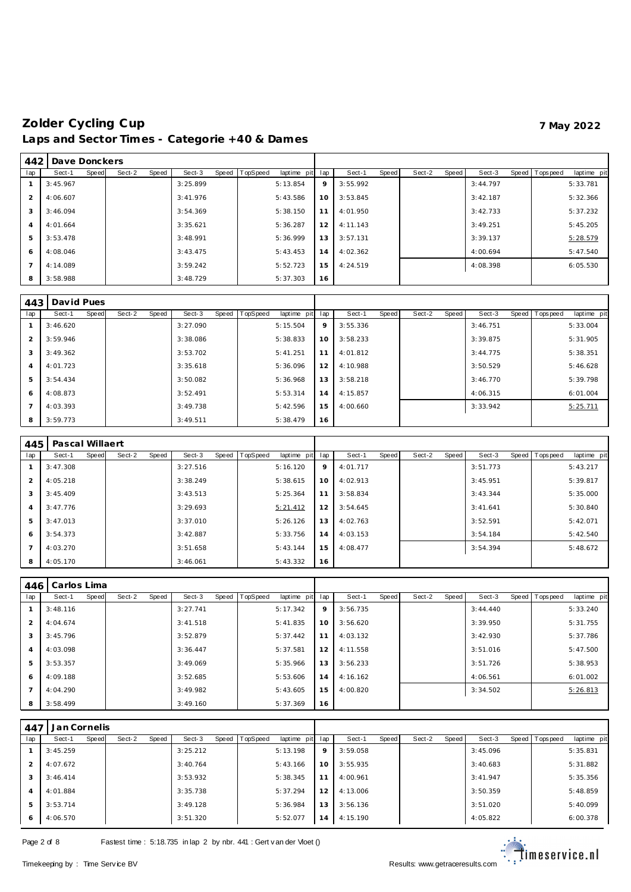| 442            | Dave Donckers |       |        |       |          |       |          |             |     |          |       |        |       |          |                |             |
|----------------|---------------|-------|--------|-------|----------|-------|----------|-------------|-----|----------|-------|--------|-------|----------|----------------|-------------|
| lap            | Sect-1        | Speed | Sect-2 | Speed | Sect-3   | Speed | TopSpeed | laptime pit | lap | Sect-1   | Speed | Sect-2 | Speed | Sect-3   | Speed Topspeed | laptime pit |
|                | 3:45.967      |       |        |       | 3:25.899 |       |          | 5:13.854    | 9   | 3:55.992 |       |        |       | 3:44.797 |                | 5:33.781    |
| $\mathcal{P}$  | 4:06.607      |       |        |       | 3:41.976 |       |          | 5:43.586    | 10  | 3:53.845 |       |        |       | 3:42.187 |                | 5:32.366    |
| 3              | 3:46.094      |       |        |       | 3:54.369 |       |          | 5:38.150    | 11  | 4:01.950 |       |        |       | 3:42.733 |                | 5:37.232    |
| $\overline{4}$ | 4:01.664      |       |        |       | 3:35.621 |       |          | 5:36.287    | 12  | 4:11.143 |       |        |       | 3:49.251 |                | 5:45.205    |
| 5              | 3:53.478      |       |        |       | 3:48.991 |       |          | 5:36.999    | 13  | 3:57.131 |       |        |       | 3:39.137 |                | 5:28.579    |
| 6              | 4:08.046      |       |        |       | 3:43.475 |       |          | 5:43.453    | 14  | 4:02.362 |       |        |       | 4:00.694 |                | 5:47.540    |
|                | 4:14.089      |       |        |       | 3:59.242 |       |          | 5:52.723    | 15  | 4:24.519 |       |        |       | 4:08.398 |                | 6:05.530    |
| 8              | 3:58.988      |       |        |       | 3:48.729 |       |          | 5:37.303    | 16  |          |       |        |       |          |                |             |

| 443 | David Pues |       |        |       |          |       |          |             |     |          |       |        |       |          |       |           |             |
|-----|------------|-------|--------|-------|----------|-------|----------|-------------|-----|----------|-------|--------|-------|----------|-------|-----------|-------------|
| lap | Sect-1     | Speed | Sect-2 | Speed | Sect-3   | Speed | TopSpeed | laptime pit | lap | Sect-1   | Speed | Sect-2 | Speed | Sect-3   | Speed | Tops peed | laptime pit |
|     | 3:46.620   |       |        |       | 3:27.090 |       |          | 5:15.504    | 9   | 3:55.336 |       |        |       | 3:46.751 |       |           | 5:33.004    |
| 2   | 3:59.946   |       |        |       | 3:38.086 |       |          | 5:38.833    | 10  | 3:58.233 |       |        |       | 3:39.875 |       |           | 5:31.905    |
| 3   | 3:49.362   |       |        |       | 3:53.702 |       |          | 5:41.251    | 11  | 4:01.812 |       |        |       | 3:44.775 |       |           | 5:38.351    |
| 4   | 4:01.723   |       |        |       | 3:35.618 |       |          | 5:36.096    | 12  | 4:10.988 |       |        |       | 3:50.529 |       |           | 5:46.628    |
| 5   | 3:54.434   |       |        |       | 3:50.082 |       |          | 5:36.968    | 13  | 3:58.218 |       |        |       | 3:46.770 |       |           | 5:39.798    |
| 6   | 4:08.873   |       |        |       | 3:52.491 |       |          | 5:53.314    | 14  | 4:15.857 |       |        |       | 4:06.315 |       |           | 6:01.004    |
|     | 4:03.393   |       |        |       | 3:49.738 |       |          | 5:42.596    | 15  | 4:00.660 |       |        |       | 3:33.942 |       |           | 5:25.711    |
| 8   | 3:59.773   |       |        |       | 3:49.511 |       |          | 5:38.479    | 16  |          |       |        |       |          |       |           |             |

| 445            | Pascal Willaert |       |        |       |          |       |          |             |     |          |       |        |       |          |                |             |
|----------------|-----------------|-------|--------|-------|----------|-------|----------|-------------|-----|----------|-------|--------|-------|----------|----------------|-------------|
| lap            | Sect-1          | Speed | Sect-2 | Speed | Sect-3   | Speed | TopSpeed | laptime pit | lap | Sect-1   | Speed | Sect-2 | Speed | Sect-3   | Speed Topspeed | laptime pit |
|                | 3:47.308        |       |        |       | 3:27.516 |       |          | 5:16.120    | 9   | 4:01.717 |       |        |       | 3:51.773 |                | 5:43.217    |
| 2              | 4:05.218        |       |        |       | 3:38.249 |       |          | 5:38.615    | 10  | 4:02.913 |       |        |       | 3:45.951 |                | 5:39.817    |
| 3              | 3:45.409        |       |        |       | 3:43.513 |       |          | 5:25.364    | 11  | 3:58.834 |       |        |       | 3:43.344 |                | 5:35.000    |
| $\overline{4}$ | 3:47.776        |       |        |       | 3:29.693 |       |          | 5:21.412    | 12  | 3:54.645 |       |        |       | 3:41.641 |                | 5:30.840    |
| 5              | 3:47.013        |       |        |       | 3:37.010 |       |          | 5:26.126    | 13  | 4:02.763 |       |        |       | 3:52.591 |                | 5:42.071    |
| 6              | 3:54.373        |       |        |       | 3:42.887 |       |          | 5:33.756    | 14  | 4:03.153 |       |        |       | 3:54.184 |                | 5:42.540    |
| $\overline{7}$ | 4:03.270        |       |        |       | 3:51.658 |       |          | 5:43.144    | 15  | 4:08.477 |       |        |       | 3:54.394 |                | 5:48.672    |
| 8              | 4:05.170        |       |        |       | 3:46.061 |       |          | 5:43.332    | 16  |          |       |        |       |          |                |             |

| 446            | Carlos Lima |              |        |       |          |       |                 |             |     |          |       |        |       |          |                |             |
|----------------|-------------|--------------|--------|-------|----------|-------|-----------------|-------------|-----|----------|-------|--------|-------|----------|----------------|-------------|
| lap            | Sect-1      | <b>Speed</b> | Sect-2 | Speed | Sect-3   | Speed | <b>TopSpeed</b> | laptime pit | lap | Sect-1   | Speed | Sect-2 | Speed | Sect-3   | Speed Topspeed | laptime pit |
|                | 3:48.116    |              |        |       | 3:27.741 |       |                 | 5:17.342    | 9   | 3:56.735 |       |        |       | 3:44.440 |                | 5:33.240    |
| 2              | 4:04.674    |              |        |       | 3:41.518 |       |                 | 5:41.835    | 10  | 3:56.620 |       |        |       | 3:39.950 |                | 5:31.755    |
| 3              | 3:45.796    |              |        |       | 3:52.879 |       |                 | 5:37.442    | 11  | 4:03.132 |       |        |       | 3:42.930 |                | 5:37.786    |
| $\overline{4}$ | 4:03.098    |              |        |       | 3:36.447 |       |                 | 5:37.581    | 12  | 4:11.558 |       |        |       | 3:51.016 |                | 5:47.500    |
| 5              | 3:53.357    |              |        |       | 3:49.069 |       |                 | 5:35.966    | 13  | 3:56.233 |       |        |       | 3:51.726 |                | 5:38.953    |
| 6              | 4:09.188    |              |        |       | 3:52.685 |       |                 | 5:53.606    | 14  | 4:16.162 |       |        |       | 4:06.561 |                | 6:01.002    |
| $\overline{7}$ | 4:04.290    |              |        |       | 3:49.982 |       |                 | 5:43.605    | 15  | 4:00.820 |       |        |       | 3:34.502 |                | 5:26.813    |
| 8              | 3:58.499    |              |        |       | 3:49.160 |       |                 | 5:37.369    | 16  |          |       |        |       |          |                |             |

| 447            | Jan Cornelis |       |        |       |          |       |          |             |     |          |       |        |       |          |                |             |
|----------------|--------------|-------|--------|-------|----------|-------|----------|-------------|-----|----------|-------|--------|-------|----------|----------------|-------------|
| lap            | Sect-1       | Speed | Sect-2 | Speed | Sect-3   | Speed | TopSpeed | laptime pit | lap | Sect-1   | Speed | Sect-2 | Speed | Sect-3   | Speed Topspeed | laptime pit |
|                | 3:45.259     |       |        |       | 3:25.212 |       |          | 5:13.198    | 9   | 3:59.058 |       |        |       | 3:45.096 |                | 5:35.831    |
| 2              | 4:07.672     |       |        |       | 3:40.764 |       |          | 5:43.166    | 10  | 3:55.935 |       |        |       | 3:40.683 |                | 5:31.882    |
| 3              | 3:46.414     |       |        |       | 3:53.932 |       |          | 5:38.345    | 11  | 4:00.961 |       |        |       | 3:41.947 |                | 5:35.356    |
| $\overline{4}$ | 4:01.884     |       |        |       | 3:35.738 |       |          | 5:37.294    | 12  | 4:13.006 |       |        |       | 3:50.359 |                | 5:48.859    |
| 5              | 3:53.714     |       |        |       | 3:49.128 |       |          | 5:36.984    | 13  | 3:56.136 |       |        |       | 3:51.020 |                | 5:40.099    |
| 6              | 4:06.570     |       |        |       | 3:51.320 |       |          | 5:52.077    | 14  | 4:15.190 |       |        |       | 4:05.822 |                | 6:00.378    |

Page 2 of 8 Fastest time : 5:18.735 in lap 2 by nbr. 441 : Gert v an der Vloet ()

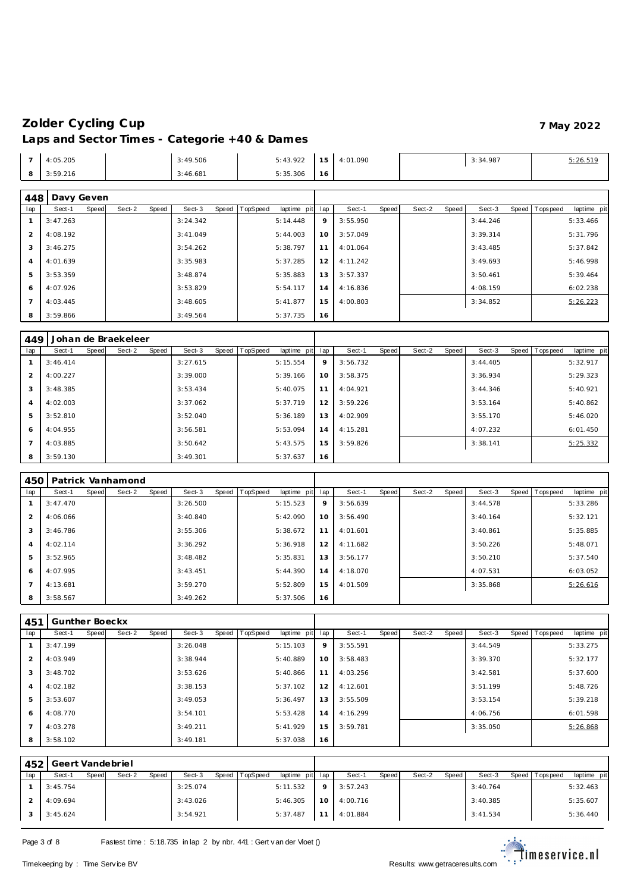| 4:05.205<br>. | 3:49.506<br>. | 5:43.922 | $\sim$ $\sim$ | 4:01.090 | 3:34.987 | 5:26.519 |
|---------------|---------------|----------|---------------|----------|----------|----------|
| 3:59.216      | 3:46.681      | 5:35.306 | 16            |          |          |          |

| 448            | Davy Geven |       |        |       |          |       |          |             |          |          |       |        |       |          |                |             |
|----------------|------------|-------|--------|-------|----------|-------|----------|-------------|----------|----------|-------|--------|-------|----------|----------------|-------------|
| lap            | Sect-1     | Speed | Sect-2 | Speed | Sect-3   | Speed | TopSpeed | laptime pit | lap      | Sect-1   | Speed | Sect-2 | Speed | Sect-3   | Speed Topspeed | laptime pit |
|                | 3:47.263   |       |        |       | 3:24.342 |       |          | 5:14.448    | 9        | 3:55.950 |       |        |       | 3:44.246 |                | 5:33.466    |
| $\overline{2}$ | 4:08.192   |       |        |       | 3:41.049 |       |          | 5:44.003    | $10^{-}$ | 3:57.049 |       |        |       | 3:39.314 |                | 5:31.796    |
| 3              | 3:46.275   |       |        |       | 3:54.262 |       |          | 5:38.797    | 11       | 4:01.064 |       |        |       | 3:43.485 |                | 5:37.842    |
| $\overline{A}$ | 4:01.639   |       |        |       | 3:35.983 |       |          | 5:37.285    | 12       | 4:11.242 |       |        |       | 3:49.693 |                | 5:46.998    |
| 5              | 3:53.359   |       |        |       | 3:48.874 |       |          | 5:35.883    | 13       | 3:57.337 |       |        |       | 3:50.461 |                | 5:39.464    |
| 6              | 4:07.926   |       |        |       | 3:53.829 |       |          | 5:54.117    | 14       | 4:16.836 |       |        |       | 4:08.159 |                | 6:02.238    |
|                | 4:03.445   |       |        |       | 3:48.605 |       |          | 5:41.877    | 15       | 4:00.803 |       |        |       | 3:34.852 |                | 5:26.223    |
| 8              | 3:59.866   |       |        |       | 3:49.564 |       |          | 5:37.735    | 16       |          |       |        |       |          |                |             |

| 449 |          |       | Johan de Braekeleer |       |          |       |          |             |     |          |       |        |       |          |                |             |
|-----|----------|-------|---------------------|-------|----------|-------|----------|-------------|-----|----------|-------|--------|-------|----------|----------------|-------------|
| lap | Sect-1   | Speed | Sect-2              | Speed | Sect-3   | Speed | TopSpeed | laptime pit | lap | Sect-1   | Speed | Sect-2 | Speed | Sect-3   | Speed Topspeed | laptime pit |
|     | 3:46.414 |       |                     |       | 3:27.615 |       |          | 5:15.554    | 9   | 3:56.732 |       |        |       | 3:44.405 |                | 5:32.917    |
| 2   | 4:00.227 |       |                     |       | 3:39.000 |       |          | 5:39.166    | 10  | 3:58.375 |       |        |       | 3:36.934 |                | 5:29.323    |
| 3   | 3:48.385 |       |                     |       | 3:53.434 |       |          | 5:40.075    | 11  | 4:04.921 |       |        |       | 3:44.346 |                | 5:40.921    |
| 4   | 4:02.003 |       |                     |       | 3:37.062 |       |          | 5:37.719    | 12  | 3:59.226 |       |        |       | 3:53.164 |                | 5:40.862    |
| 5   | 3:52.810 |       |                     |       | 3:52.040 |       |          | 5:36.189    | 13  | 4:02.909 |       |        |       | 3:55.170 |                | 5:46.020    |
| 6   | 4:04.955 |       |                     |       | 3:56.581 |       |          | 5:53.094    | 14  | 4:15.281 |       |        |       | 4:07.232 |                | 6:01.450    |
|     | 4:03.885 |       |                     |       | 3:50.642 |       |          | 5:43.575    | 15  | 3:59.826 |       |        |       | 3:38.141 |                | 5:25.332    |
| 8   | 3:59.130 |       |                     |       | 3:49.301 |       |          | 5:37.637    | 16  |          |       |        |       |          |                |             |

| 450            |          |       | Patrick Vanhamond |       |          |       |          |             |     |          |       |        |       |          |                |             |
|----------------|----------|-------|-------------------|-------|----------|-------|----------|-------------|-----|----------|-------|--------|-------|----------|----------------|-------------|
| lap            | Sect-1   | Speed | Sect-2            | Speed | Sect-3   | Speed | TopSpeed | laptime pit | lap | Sect-1   | Speed | Sect-2 | Speed | Sect-3   | Speed Topspeed | laptime pit |
|                | 3:47.470 |       |                   |       | 3:26.500 |       |          | 5:15.523    | 9   | 3:56.639 |       |        |       | 3:44.578 |                | 5:33.286    |
| $\overline{2}$ | 4:06.066 |       |                   |       | 3:40.840 |       |          | 5:42.090    | 10  | 3:56.490 |       |        |       | 3:40.164 |                | 5:32.121    |
| 3              | 3:46.786 |       |                   |       | 3:55.306 |       |          | 5:38.672    | 11  | 4:01.601 |       |        |       | 3:40.861 |                | 5:35.885    |
| $\overline{A}$ | 4:02.114 |       |                   |       | 3:36.292 |       |          | 5:36.918    | 12  | 4:11.682 |       |        |       | 3:50.226 |                | 5:48.071    |
| 5              | 3:52.965 |       |                   |       | 3:48.482 |       |          | 5:35.831    | 13  | 3:56.177 |       |        |       | 3:50.210 |                | 5:37.540    |
| 6              | 4:07.995 |       |                   |       | 3:43.451 |       |          | 5:44.390    | 14  | 4:18.070 |       |        |       | 4:07.531 |                | 6:03.052    |
|                | 4:13.681 |       |                   |       | 3:59.270 |       |          | 5:52.809    | 15  | 4:01.509 |       |        |       | 3:35.868 |                | 5:26.616    |
| 8              | 3:58.567 |       |                   |       | 3:49.262 |       |          | 5:37.506    | 16  |          |       |        |       |          |                |             |

| 451 | Gunther Boeckx |              |        |       |          |       |                 |             |     |          |       |        |       |          |       |           |             |
|-----|----------------|--------------|--------|-------|----------|-------|-----------------|-------------|-----|----------|-------|--------|-------|----------|-------|-----------|-------------|
| lap | Sect-1         | <b>Speed</b> | Sect-2 | Speed | Sect-3   | Speed | <b>TopSpeed</b> | laptime pit | lap | Sect-1   | Speed | Sect-2 | Speed | Sect-3   | Speed | Tops peed | laptime pit |
|     | 3:47.199       |              |        |       | 3:26.048 |       |                 | 5:15.103    | 9   | 3:55.591 |       |        |       | 3:44.549 |       |           | 5:33.275    |
| 2   | 4:03.949       |              |        |       | 3:38.944 |       |                 | 5:40.889    | 10  | 3:58.483 |       |        |       | 3:39.370 |       |           | 5:32.177    |
| 3   | 3:48.702       |              |        |       | 3:53.626 |       |                 | 5:40.866    | 11  | 4:03.256 |       |        |       | 3:42.581 |       |           | 5:37.600    |
| 4   | 4:02.182       |              |        |       | 3:38.153 |       |                 | 5:37.102    | 12  | 4:12.601 |       |        |       | 3:51.199 |       |           | 5:48.726    |
| 5   | 3:53.607       |              |        |       | 3:49.053 |       |                 | 5:36.497    | 13  | 3:55.509 |       |        |       | 3:53.154 |       |           | 5:39.218    |
| 6   | 4:08.770       |              |        |       | 3:54.101 |       |                 | 5:53.428    | 14  | 4:16.299 |       |        |       | 4:06.756 |       |           | 6:01.598    |
|     | 4:03.278       |              |        |       | 3:49.211 |       |                 | 5:41.929    | 15  | 3:59.781 |       |        |       | 3:35.050 |       |           | 5:26.868    |
| 8   | 3:58.102       |              |        |       | 3:49.181 |       |                 | 5:37.038    | 16  |          |       |        |       |          |       |           |             |

| 452 | Geert Vandebriel |       |        |       |          |       |          |                 |    |           |              |        |       |          |                 |             |
|-----|------------------|-------|--------|-------|----------|-------|----------|-----------------|----|-----------|--------------|--------|-------|----------|-----------------|-------------|
|     | Sect-1           | Speed | Sect-2 | Speed | Sect-3   | Speed | TopSpeed | laptime pit lap |    | Sect-1    | <b>Speed</b> | Sect-2 | Speed | Sect-3   | Speed Tops peed | laptime pit |
|     | 3:45.754         |       |        |       | 3:25.074 |       |          | 5:11.532        |    | 3:57.243  |              |        |       | 3:40.764 |                 | 5:32.463    |
|     | 4:09.694         |       |        |       | 3:43.026 |       |          | 5:46.305        | 10 | 14:00.716 |              |        |       | 3:40.385 |                 | 5:35.607    |
|     | 3:45.624         |       |        |       | 3:54.921 |       |          | 5:37.487        |    | 4:01.884  |              |        |       | 3:41.534 |                 | 5:36.440    |

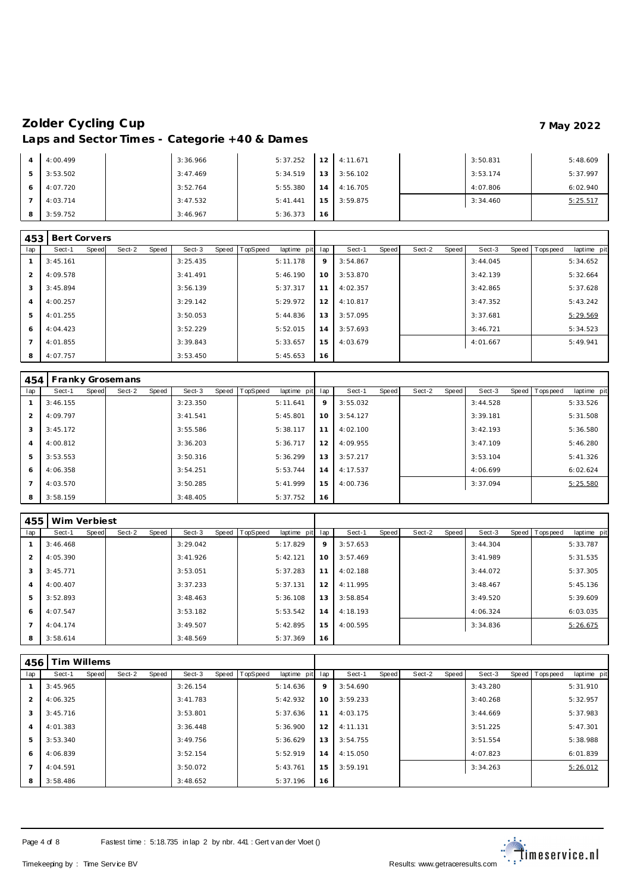|   | 4:00.499 | 3:36.966 | 5:37.252 | 12     | 4:11.671 | 3:50.831 | 5:48.609 |
|---|----------|----------|----------|--------|----------|----------|----------|
| 5 | 3:53.502 | 3:47.469 | 5:34.519 | 13     | 3:56.102 | 3:53.174 | 5:37.997 |
|   | 4:07.720 | 3:52.764 | 5:55.380 | 14     | 4:16.705 | 4:07.806 | 6:02.940 |
|   | 4:03.714 | 3:47.532 | 5:41.441 | $15-1$ | 3:59.875 | 3:34.460 | 5:25.517 |
| 8 | 3:59.752 | 3:46.967 | 5:36.373 | 16     |          |          |          |

| 453            | Bert Corvers |       |        |       |          |       |                 |             |     |          |       |        |       |          |       |           |             |
|----------------|--------------|-------|--------|-------|----------|-------|-----------------|-------------|-----|----------|-------|--------|-------|----------|-------|-----------|-------------|
| lap            | Sect-1       | Speed | Sect-2 | Speed | Sect-3   | Speed | <b>TopSpeed</b> | laptime pit | lap | Sect-1   | Speed | Sect-2 | Speed | Sect-3   | Speed | Tops peed | laptime pit |
|                | 3:45.161     |       |        |       | 3:25.435 |       |                 | 5:11.178    | 9   | 3:54.867 |       |        |       | 3:44.045 |       |           | 5:34.652    |
| 2              | 4:09.578     |       |        |       | 3:41.491 |       |                 | 5:46.190    | 10  | 3:53.870 |       |        |       | 3:42.139 |       |           | 5:32.664    |
| 3              | 3:45.894     |       |        |       | 3:56.139 |       |                 | 5:37.317    | 11  | 4:02.357 |       |        |       | 3:42.865 |       |           | 5:37.628    |
| $\overline{4}$ | 4:00.257     |       |        |       | 3:29.142 |       |                 | 5:29.972    | 12  | 4:10.817 |       |        |       | 3:47.352 |       |           | 5:43.242    |
| 5              | 4:01.255     |       |        |       | 3:50.053 |       |                 | 5:44.836    | 13  | 3:57.095 |       |        |       | 3:37.681 |       |           | 5:29.569    |
| 6              | 4:04.423     |       |        |       | 3:52.229 |       |                 | 5:52.015    | 14  | 3:57.693 |       |        |       | 3:46.721 |       |           | 5:34.523    |
| $\overline{7}$ | 4:01.855     |       |        |       | 3:39.843 |       |                 | 5:33.657    | 15  | 4:03.679 |       |        |       | 4:01.667 |       |           | 5:49.941    |
| 8              | 4:07.757     |       |        |       | 3:53.450 |       |                 | 5:45.653    | 16  |          |       |        |       |          |       |           |             |

|                | 454   Franky Grosemans |       |        |       |          |                |             |     |          |       |        |       |          |                |             |
|----------------|------------------------|-------|--------|-------|----------|----------------|-------------|-----|----------|-------|--------|-------|----------|----------------|-------------|
| lap            | Sect-1                 | Speed | Sect-2 | Speed | Sect-3   | Speed TopSpeed | laptime pit | lap | Sect-1   | Speed | Sect-2 | Speed | Sect-3   | Speed Topspeed | laptime pit |
|                | 3:46.155               |       |        |       | 3:23.350 |                | 5:11.641    | 9   | 3:55.032 |       |        |       | 3:44.528 |                | 5:33.526    |
| 2              | 4:09.797               |       |        |       | 3:41.541 |                | 5:45.801    | 10  | 3:54.127 |       |        |       | 3:39.181 |                | 5:31.508    |
| 3              | 3:45.172               |       |        |       | 3:55.586 |                | 5:38.117    | 11  | 4:02.100 |       |        |       | 3:42.193 |                | 5:36.580    |
| $\overline{4}$ | 4:00.812               |       |        |       | 3:36.203 |                | 5:36.717    | 12  | 4:09.955 |       |        |       | 3:47.109 |                | 5:46.280    |
| 5              | 3:53.553               |       |        |       | 3:50.316 |                | 5:36.299    | 13  | 3:57.217 |       |        |       | 3:53.104 |                | 5:41.326    |
| 6              | 4:06.358               |       |        |       | 3:54.251 |                | 5:53.744    | 14  | 4:17.537 |       |        |       | 4:06.699 |                | 6:02.624    |
| $\overline{7}$ | 4:03.570               |       |        |       | 3:50.285 |                | 5:41.999    | 15  | 4:00.736 |       |        |       | 3:37.094 |                | 5:25.580    |
| 8              | 3:58.159               |       |        |       | 3:48.405 |                | 5:37.752    | 16  |          |       |        |       |          |                |             |

| 455            | Wim Verbiest |       |        |       |          |       |          |             |     |          |       |        |       |          |       |            |             |
|----------------|--------------|-------|--------|-------|----------|-------|----------|-------------|-----|----------|-------|--------|-------|----------|-------|------------|-------------|
| lap            | Sect-1       | Speed | Sect-2 | Speed | Sect-3   | Speed | TopSpeed | laptime pit | lap | Sect-1   | Speed | Sect-2 | Speed | Sect-3   | Speed | Tops pee d | laptime pit |
|                | 3:46.468     |       |        |       | 3:29.042 |       |          | 5:17.829    | 9   | 3:57.653 |       |        |       | 3:44.304 |       |            | 5:33.787    |
| $\overline{2}$ | 4:05.390     |       |        |       | 3:41.926 |       |          | 5:42.121    | 10  | 3:57.469 |       |        |       | 3:41.989 |       |            | 5:31.535    |
| 3              | 3:45.771     |       |        |       | 3:53.051 |       |          | 5:37.283    | 11  | 4:02.188 |       |        |       | 3:44.072 |       |            | 5:37.305    |
| $\overline{4}$ | 4:00.407     |       |        |       | 3:37.233 |       |          | 5:37.131    | 12  | 4:11.995 |       |        |       | 3:48.467 |       |            | 5:45.136    |
| 5              | 3:52.893     |       |        |       | 3:48.463 |       |          | 5:36.108    | 13  | 3:58.854 |       |        |       | 3:49.520 |       |            | 5:39.609    |
| -6             | 4:07.547     |       |        |       | 3:53.182 |       |          | 5:53.542    | 14  | 4:18.193 |       |        |       | 4:06.324 |       |            | 6:03.035    |
| $\overline{ }$ | 4:04.174     |       |        |       | 3:49.507 |       |          | 5:42.895    | 15  | 4:00.595 |       |        |       | 3:34.836 |       |            | 5:26.675    |
| 8              | 3:58.614     |       |        |       | 3:48.569 |       |          | 5:37.369    | 16  |          |       |        |       |          |       |            |             |

| 456 | Tim Willems |              |        |       |          |       |                 |             |     |          |       |        |       |          |                 |             |
|-----|-------------|--------------|--------|-------|----------|-------|-----------------|-------------|-----|----------|-------|--------|-------|----------|-----------------|-------------|
| lap | Sect-1      | <b>Speed</b> | Sect-2 | Speed | Sect-3   | Speed | <b>TopSpeed</b> | laptime pit | lap | Sect-1   | Speed | Sect-2 | Speed | Sect-3   | Speed Tops peed | laptime pit |
|     | 3:45.965    |              |        |       | 3:26.154 |       |                 | 5:14.636    | 9   | 3:54.690 |       |        |       | 3:43.280 |                 | 5:31.910    |
| 2   | 4:06.325    |              |        |       | 3:41.783 |       |                 | 5:42.932    | 10  | 3:59.233 |       |        |       | 3:40.268 |                 | 5:32.957    |
| 3   | 3:45.716    |              |        |       | 3:53.801 |       |                 | 5:37.636    | 11  | 4:03.175 |       |        |       | 3:44.669 |                 | 5:37.983    |
| 4   | 4:01.383    |              |        |       | 3:36.448 |       |                 | 5:36.900    | 12  | 4:11.131 |       |        |       | 3:51.225 |                 | 5:47.301    |
| 5   | 3:53.340    |              |        |       | 3:49.756 |       |                 | 5:36.629    | 13  | 3:54.755 |       |        |       | 3:51.554 |                 | 5:38.988    |
| 6   | 4:06.839    |              |        |       | 3:52.154 |       |                 | 5:52.919    | 14  | 4:15.050 |       |        |       | 4:07.823 |                 | 6:01.839    |
|     | 4:04.591    |              |        |       | 3:50.072 |       |                 | 5:43.761    | 15  | 3:59.191 |       |        |       | 3:34.263 |                 | 5:26.012    |
| 8   | 3:58.486    |              |        |       | 3:48.652 |       |                 | 5:37.196    | 16  |          |       |        |       |          |                 |             |



<u>estarial</u><br>Timeservice.nl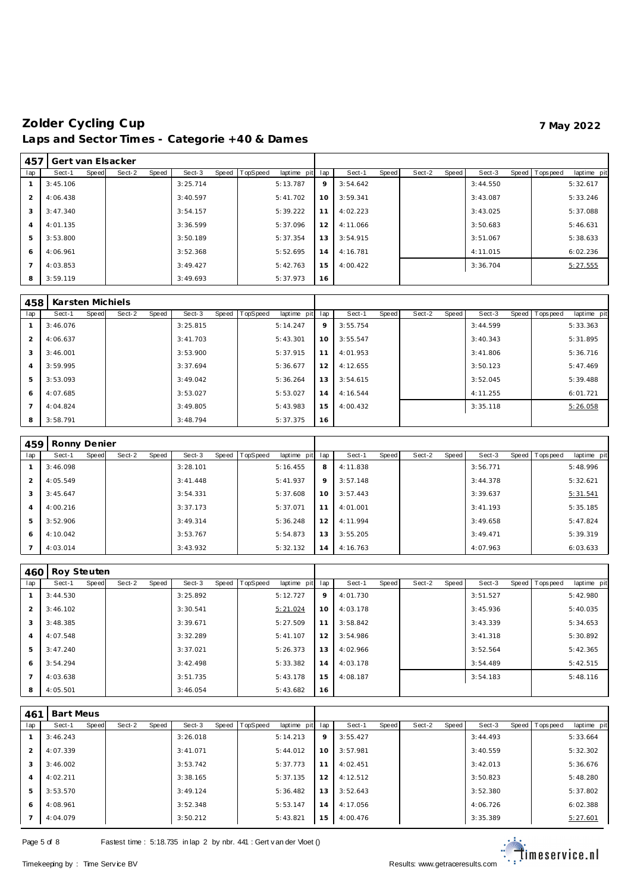| 457            |          |       | Gert van Elsacker |       |          |       |          |             |     |          |       |        |       |          |                |             |
|----------------|----------|-------|-------------------|-------|----------|-------|----------|-------------|-----|----------|-------|--------|-------|----------|----------------|-------------|
| lap            | Sect-1   | Speed | Sect-2            | Speed | Sect-3   | Speed | TopSpeed | laptime pit | lap | Sect-1   | Speed | Sect-2 | Speed | Sect-3   | Speed Topspeed | laptime pit |
|                | 3:45.106 |       |                   |       | 3:25.714 |       |          | 5:13.787    | 9   | 3:54.642 |       |        |       | 3:44.550 |                | 5:32.617    |
| $\mathcal{P}$  | 4:06.438 |       |                   |       | 3:40.597 |       |          | 5:41.702    | 10  | 3:59.341 |       |        |       | 3:43.087 |                | 5:33.246    |
| 3              | 3:47.340 |       |                   |       | 3:54.157 |       |          | 5:39.222    | 11  | 4:02.223 |       |        |       | 3:43.025 |                | 5:37.088    |
| $\overline{4}$ | 4:01.135 |       |                   |       | 3:36.599 |       |          | 5:37.096    | 12  | 4:11.066 |       |        |       | 3:50.683 |                | 5:46.631    |
| 5              | 3:53.800 |       |                   |       | 3:50.189 |       |          | 5:37.354    | 13  | 3:54.915 |       |        |       | 3:51.067 |                | 5:38.633    |
| 6              | 4:06.961 |       |                   |       | 3:52.368 |       |          | 5:52.695    | 14  | 4:16.781 |       |        |       | 4:11.015 |                | 6:02.236    |
|                | 4:03.853 |       |                   |       | 3:49.427 |       |          | 5:42.763    | 15  | 4:00.422 |       |        |       | 3:36.704 |                | 5:27.555    |
| 8              | 3:59.119 |       |                   |       | 3:49.693 |       |          | 5:37.973    | 16  |          |       |        |       |          |                |             |

| 458            | Karsten Michiels |       |        |       |          |       |          |             |     |          |       |        |       |          |                  |             |
|----------------|------------------|-------|--------|-------|----------|-------|----------|-------------|-----|----------|-------|--------|-------|----------|------------------|-------------|
| lap            | Sect-1           | Speed | Sect-2 | Speed | Sect-3   | Speed | TopSpeed | laptime pit | lap | Sect-1   | Speed | Sect-2 | Speed | Sect-3   | Speed   Topspeed | laptime pit |
|                | 3:46.076         |       |        |       | 3:25.815 |       |          | 5:14.247    | 9   | 3:55.754 |       |        |       | 3:44.599 |                  | 5:33.363    |
| 2              | 4:06.637         |       |        |       | 3:41.703 |       |          | 5:43.301    | 10  | 3:55.547 |       |        |       | 3:40.343 |                  | 5:31.895    |
| 3              | 3:46.001         |       |        |       | 3:53.900 |       |          | 5:37.915    | 11  | 4:01.953 |       |        |       | 3:41.806 |                  | 5:36.716    |
| $\overline{4}$ | 3:59.995         |       |        |       | 3:37.694 |       |          | 5:36.677    | 12  | 4:12.655 |       |        |       | 3:50.123 |                  | 5:47.469    |
| 5              | 3:53.093         |       |        |       | 3:49.042 |       |          | 5:36.264    | 13  | 3:54.615 |       |        |       | 3:52.045 |                  | 5:39.488    |
| 6              | 4:07.685         |       |        |       | 3:53.027 |       |          | 5:53.027    | 14  | 4:16.544 |       |        |       | 4:11.255 |                  | 6:01.721    |
| $\overline{7}$ | 4:04.824         |       |        |       | 3:49.805 |       |          | 5:43.983    | 15  | 4:00.432 |       |        |       | 3:35.118 |                  | 5:26.058    |
| 8              | 3:58.791         |       |        |       | 3:48.794 |       |          | 5:37.375    | 16  |          |       |        |       |          |                  |             |

| 459            | Ronny Denier |       |        |       |          |       |                 |             |     |          |       |        |       |          |                  |             |
|----------------|--------------|-------|--------|-------|----------|-------|-----------------|-------------|-----|----------|-------|--------|-------|----------|------------------|-------------|
| lap            | Sect-1       | Speed | Sect-2 | Speed | Sect-3   | Speed | <b>TopSpeed</b> | laptime pit | lap | Sect-1   | Speed | Sect-2 | Speed | Sect-3   | Speed   Topspeed | laptime pit |
|                | 3:46.098     |       |        |       | 3:28.101 |       |                 | 5:16.455    | 8   | 4:11.838 |       |        |       | 3:56.771 |                  | 5:48.996    |
| 2              | 4:05.549     |       |        |       | 3:41.448 |       |                 | 5:41.937    | 9   | 3:57.148 |       |        |       | 3:44.378 |                  | 5:32.621    |
| 3              | 3:45.647     |       |        |       | 3:54.331 |       |                 | 5:37.608    | 10  | 3:57.443 |       |        |       | 3:39.637 |                  | 5:31.541    |
| $\overline{4}$ | 4:00.216     |       |        |       | 3:37.173 |       |                 | 5:37.071    | 11  | 4:01.001 |       |        |       | 3:41.193 |                  | 5:35.185    |
| -5             | 3:52.906     |       |        |       | 3:49.314 |       |                 | 5:36.248    | 12  | 4:11.994 |       |        |       | 3:49.658 |                  | 5:47.824    |
| 6              | 4:10.042     |       |        |       | 3:53.767 |       |                 | 5:54.873    | 13  | 3:55.205 |       |        |       | 3:49.471 |                  | 5:39.319    |
|                | 4:03.014     |       |        |       | 3:43.932 |       |                 | 5:32.132    | 14  | 4:16.763 |       |        |       | 4:07.963 |                  | 6:03.633    |

| 460            | Roy Steuten |              |        |       |          |       |          |             |     |          |       |        |       |          |                |             |
|----------------|-------------|--------------|--------|-------|----------|-------|----------|-------------|-----|----------|-------|--------|-------|----------|----------------|-------------|
| lap            | Sect-1      | <b>Speed</b> | Sect-2 | Speed | Sect-3   | Speed | TopSpeed | laptime pit | lap | Sect-1   | Speed | Sect-2 | Speed | Sect-3   | Speed Topspeed | laptime pit |
|                | 3:44.530    |              |        |       | 3:25.892 |       |          | 5:12.727    | 9   | 4:01.730 |       |        |       | 3:51.527 |                | 5:42.980    |
| 2              | 3:46.102    |              |        |       | 3:30.541 |       |          | 5:21.024    | 10  | 4:03.178 |       |        |       | 3:45.936 |                | 5:40.035    |
| 3              | 3:48.385    |              |        |       | 3:39.671 |       |          | 5:27.509    | 11  | 3:58.842 |       |        |       | 3:43.339 |                | 5:34.653    |
| $\overline{4}$ | 4:07.548    |              |        |       | 3:32.289 |       |          | 5:41.107    | 12  | 3:54.986 |       |        |       | 3:41.318 |                | 5:30.892    |
| 5              | 3:47.240    |              |        |       | 3:37.021 |       |          | 5:26.373    | 13  | 4:02.966 |       |        |       | 3:52.564 |                | 5:42.365    |
| 6              | 3:54.294    |              |        |       | 3:42.498 |       |          | 5:33.382    | 14. | 4:03.178 |       |        |       | 3:54.489 |                | 5:42.515    |
| $\overline{7}$ | 4:03.638    |              |        |       | 3:51.735 |       |          | 5:43.178    | 15  | 4:08.187 |       |        |       | 3:54.183 |                | 5:48.116    |
| 8              | 4:05.501    |              |        |       | 3:46.054 |       |          | 5:43.682    | 16  |          |       |        |       |          |                |             |

| 461            | <b>Bart Meus</b> |       |        |       |          |       |                 |             |                |          |       |        |       |          |       |           |             |
|----------------|------------------|-------|--------|-------|----------|-------|-----------------|-------------|----------------|----------|-------|--------|-------|----------|-------|-----------|-------------|
| lap            | Sect-1           | Speed | Sect-2 | Speed | Sect-3   | Speed | <b>TopSpeed</b> | laptime pit | lap            | Sect-1   | Speed | Sect-2 | Speed | Sect-3   | Speed | Tops peed | laptime pit |
|                | 3:46.243         |       |        |       | 3:26.018 |       |                 | 5:14.213    | 9              | 3:55.427 |       |        |       | 3:44.493 |       |           | 5:33.664    |
| 2              | 4:07.339         |       |        |       | 3:41.071 |       |                 | 5:44.012    | 10             | 3:57.981 |       |        |       | 3:40.559 |       |           | 5:32.302    |
| 3              | 3:46.002         |       |        |       | 3:53.742 |       |                 | 5:37.773    | 1 <sup>1</sup> | 4:02.451 |       |        |       | 3:42.013 |       |           | 5:36.676    |
| $\overline{4}$ | 4:02.211         |       |        |       | 3:38.165 |       |                 | 5:37.135    | 12             | 4:12.512 |       |        |       | 3:50.823 |       |           | 5:48.280    |
| 5              | 3:53.570         |       |        |       | 3:49.124 |       |                 | 5:36.482    | 13             | 3:52.643 |       |        |       | 3:52.380 |       |           | 5:37.802    |
| 6              | 4:08.961         |       |        |       | 3:52.348 |       |                 | 5:53.147    | 14             | 4:17.056 |       |        |       | 4:06.726 |       |           | 6:02.388    |
|                | 4:04.079         |       |        |       | 3:50.212 |       |                 | 5:43.821    | 15             | 4:00.476 |       |        |       | 3:35.389 |       |           | 5:27.601    |

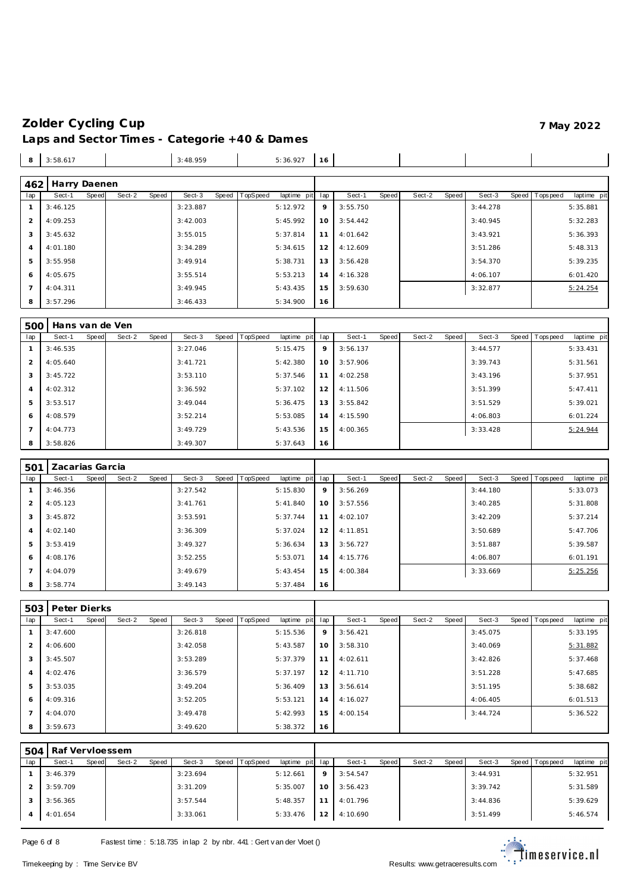| 8              | 3:58.617     |              |        |       | 3:48.959 |       |                 | 5:36.927    | 16              |          |       |        |       |          |                |             |
|----------------|--------------|--------------|--------|-------|----------|-------|-----------------|-------------|-----------------|----------|-------|--------|-------|----------|----------------|-------------|
|                |              |              |        |       |          |       |                 |             |                 |          |       |        |       |          |                |             |
| 462            | Harry Daenen |              |        |       |          |       |                 |             |                 |          |       |        |       |          |                |             |
| lap            | Sect-1       | <b>Speed</b> | Sect-2 | Speed | Sect-3   | Speed | <b>TopSpeed</b> | laptime pit | lap             | Sect-1   | Speed | Sect-2 | Speed | Sect-3   | Speed Topspeed | laptime pit |
|                | 3:46.125     |              |        |       | 3:23.887 |       |                 | 5:12.972    | 9               | 3:55.750 |       |        |       | 3:44.278 |                | 5:35.881    |
| $\overline{2}$ | 4:09.253     |              |        |       | 3:42.003 |       |                 | 5:45.992    | 10 <sup>°</sup> | 3:54.442 |       |        |       | 3:40.945 |                | 5:32.283    |
| 3              | 3:45.632     |              |        |       | 3:55.015 |       |                 | 5:37.814    | 11              | 4:01.642 |       |        |       | 3:43.921 |                | 5:36.393    |
| $\overline{A}$ | 4:01.180     |              |        |       | 3:34.289 |       |                 | 5:34.615    | 12              | 4:12.609 |       |        |       | 3:51.286 |                | 5:48.313    |
| 5              | 3:55.958     |              |        |       | 3:49.914 |       |                 | 5:38.731    | 13              | 3:56.428 |       |        |       | 3:54.370 |                | 5:39.235    |
| 6              | 4:05.675     |              |        |       | 3:55.514 |       |                 | 5:53.213    | 14              | 4:16.328 |       |        |       | 4:06.107 |                | 6:01.420    |
| $\overline{7}$ | 4:04.311     |              |        |       | 3:49.945 |       |                 | 5:43.435    | 15              | 3:59.630 |       |        |       | 3:32.877 |                | 5:24.254    |
| 8              | 3:57.296     |              |        |       | 3:46.433 |       |                 | 5:34.900    | 16              |          |       |        |       |          |                |             |

| 500            | Hans van de Ven |       |        |       |          |       |          |             |     |          |       |        |       |          |                |             |
|----------------|-----------------|-------|--------|-------|----------|-------|----------|-------------|-----|----------|-------|--------|-------|----------|----------------|-------------|
| lap            | Sect-1          | Speed | Sect-2 | Speed | Sect-3   | Speed | TopSpeed | laptime pit | lap | Sect-1   | Speed | Sect-2 | Speed | Sect-3   | Speed Topspeed | laptime pit |
|                | 3:46.535        |       |        |       | 3:27.046 |       |          | 5:15.475    | 9   | 3:56.137 |       |        |       | 3:44.577 |                | 5:33.431    |
| $\mathcal{P}$  | 4:05.640        |       |        |       | 3:41.721 |       |          | 5:42.380    | 10  | 3:57.906 |       |        |       | 3:39.743 |                | 5:31.561    |
| 3              | 3:45.722        |       |        |       | 3:53.110 |       |          | 5:37.546    | 11  | 4:02.258 |       |        |       | 3:43.196 |                | 5:37.951    |
| $\overline{4}$ | 4:02.312        |       |        |       | 3:36.592 |       |          | 5:37.102    | 12  | 4:11.506 |       |        |       | 3:51.399 |                | 5:47.411    |
| 5              | 3:53.517        |       |        |       | 3:49.044 |       |          | 5:36.475    | 13  | 3:55.842 |       |        |       | 3:51.529 |                | 5:39.021    |
| 6              | 4:08.579        |       |        |       | 3:52.214 |       |          | 5:53.085    | 14  | 4:15.590 |       |        |       | 4:06.803 |                | 6:01.224    |
|                | 4:04.773        |       |        |       | 3:49.729 |       |          | 5:43.536    | 15  | 4:00.365 |       |        |       | 3:33.428 |                | 5:24.944    |
| 8              | 3:58.826        |       |        |       | 3:49.307 |       |          | 5:37.643    | 16  |          |       |        |       |          |                |             |

| 501 | Zacarias Garcia |       |        |       |          |                |             |     |          |       |        |       |          |                |             |
|-----|-----------------|-------|--------|-------|----------|----------------|-------------|-----|----------|-------|--------|-------|----------|----------------|-------------|
| lap | Sect-1          | Speed | Sect-2 | Speed | Sect-3   | Speed TopSpeed | laptime pit | lap | Sect-1   | Speed | Sect-2 | Speed | Sect-3   | Speed Topspeed | laptime pit |
|     | 3:46.356        |       |        |       | 3:27.542 |                | 5:15.830    | 9   | 3:56.269 |       |        |       | 3:44.180 |                | 5:33.073    |
| 2   | 4:05.123        |       |        |       | 3:41.761 |                | 5:41.840    | 10  | 3:57.556 |       |        |       | 3:40.285 |                | 5:31.808    |
| 3   | 3:45.872        |       |        |       | 3:53.591 |                | 5:37.744    | 11  | 4:02.107 |       |        |       | 3:42.209 |                | 5:37.214    |
| 4   | 4:02.140        |       |        |       | 3:36.309 |                | 5:37.024    | 12  | 4:11.851 |       |        |       | 3:50.689 |                | 5:47.706    |
| 5   | 3:53.419        |       |        |       | 3:49.327 |                | 5:36.634    | 13  | 3:56.727 |       |        |       | 3:51.887 |                | 5:39.587    |
| 6   | 4:08.176        |       |        |       | 3:52.255 |                | 5:53.071    | 14  | 4:15.776 |       |        |       | 4:06.807 |                | 6:01.191    |
|     | 4:04.079        |       |        |       | 3:49.679 |                | 5:43.454    | 15  | 4:00.384 |       |        |       | 3:33.669 |                | 5:25.256    |
| 8   | 3:58.774        |       |        |       | 3:49.143 |                | 5:37.484    | 16  |          |       |        |       |          |                |             |

| 503            | Peter Dierks |       |        |       |          |       |          |                 |    |          |       |        |       |          |                 |             |
|----------------|--------------|-------|--------|-------|----------|-------|----------|-----------------|----|----------|-------|--------|-------|----------|-----------------|-------------|
| lap            | Sect-1       | Speed | Sect-2 | Speed | Sect-3   | Speed | TopSpeed | laptime pit lap |    | Sect-1   | Speed | Sect-2 | Speed | Sect-3   | Speed Tops peed | laptime pit |
|                | 3:47.600     |       |        |       | 3:26.818 |       |          | 5:15.536        | 9  | 3:56.421 |       |        |       | 3:45.075 |                 | 5:33.195    |
| 2              | 4:06.600     |       |        |       | 3:42.058 |       |          | 5:43.587        | 10 | 3:58.310 |       |        |       | 3:40.069 |                 | 5:31.882    |
| 3              | 3:45.507     |       |        |       | 3:53.289 |       |          | 5:37.379        | 11 | 4:02.611 |       |        |       | 3:42.826 |                 | 5:37.468    |
| $\overline{4}$ | 4:02.476     |       |        |       | 3:36.579 |       |          | 5:37.197        | 12 | 4:11.710 |       |        |       | 3:51.228 |                 | 5:47.685    |
| 5              | 3:53.035     |       |        |       | 3:49.204 |       |          | 5:36.409        | 13 | 3:56.614 |       |        |       | 3:51.195 |                 | 5:38.682    |
| 6              | 4:09.316     |       |        |       | 3:52.205 |       |          | 5:53.121        | 14 | 4:16.027 |       |        |       | 4:06.405 |                 | 6:01.513    |
|                | 4:04.070     |       |        |       | 3:49.478 |       |          | 5:42.993        | 15 | 4:00.154 |       |        |       | 3:44.724 |                 | 5:36.522    |
| 8              | 3:59.673     |       |        |       | 3:49.620 |       |          | 5:38.372        | 16 |          |       |        |       |          |                 |             |

| 504 | Raf Vervloessem |       |        |       |          |       |          |                 |                 |          |       |        |       |          |                 |             |
|-----|-----------------|-------|--------|-------|----------|-------|----------|-----------------|-----------------|----------|-------|--------|-------|----------|-----------------|-------------|
| lap | Sect-1          | Speed | Sect-2 | Speed | Sect-3   | Speed | TopSpeed | laptime pit lap |                 | Sect-1   | Speed | Sect-2 | Speed | Sect-3   | Speed Tops peed | laptime pit |
|     | 3:46.379        |       |        |       | 3:23.694 |       |          | 5:12.661        | $\circ$         | 3:54.547 |       |        |       | 3:44.931 |                 | 5:32.951    |
|     | 3:59.709        |       |        |       | 3:31.209 |       |          | 5:35.007        | 10              | 3:56.423 |       |        |       | 3:39.742 |                 | 5:31.589    |
|     | 3:56.365        |       |        |       | 3:57.544 |       |          | 5:48.357        | 11              | 4:01.796 |       |        |       | 3:44.836 |                 | 5:39.629    |
|     | 4:01.654        |       |        |       | 3:33.061 |       |          | 5:33.476        | 12 <sub>1</sub> | 4:10.690 |       |        |       | 3:51.499 |                 | 5:46.574    |

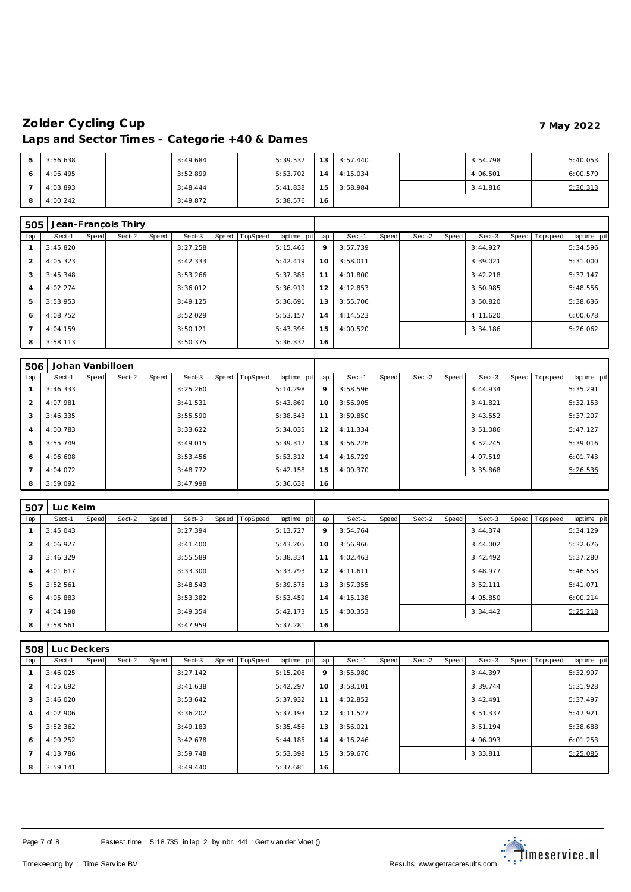| 3:56.638 | 3:49.684 | 5:39.537 | 13. | 3:57.440 | 3:54.798 | 5:40.053 |
|----------|----------|----------|-----|----------|----------|----------|
| 4:06.495 | 3:52.899 | 5:53.702 | 14  | 4:15.034 | 4:06.501 | 6:00.570 |
| 4:03.893 | 3:48.444 | 5:41.838 | 15  | 3:58.984 | 3:41.816 | 5:30.313 |
| 4:00.242 | 3:49.872 | 5:38.576 | 16  |          |          |          |

| 505 |          |              | Jean-Francois Thiry |       |          |         |                 |             |     |          |       |        |       |          |                |             |
|-----|----------|--------------|---------------------|-------|----------|---------|-----------------|-------------|-----|----------|-------|--------|-------|----------|----------------|-------------|
| lap | Sect-1   | <b>Speed</b> | Sect-2              | Speed | Sect-3   | Speed T | <b>TopSpeed</b> | laptime pit | lap | Sect-1   | Speed | Sect-2 | Speed | Sect-3   | Speed Topspeed | laptime pit |
|     | 3:45.820 |              |                     |       | 3:27.258 |         |                 | 5:15.465    | 9   | 3:57.739 |       |        |       | 3:44.927 |                | 5:34.596    |
|     | 4:05.323 |              |                     |       | 3:42.333 |         |                 | 5:42.419    | 10  | 3:58.011 |       |        |       | 3:39.021 |                | 5:31.000    |
| 3   | 3:45.348 |              |                     |       | 3:53.266 |         |                 | 5:37.385    | 11  | 4:01.800 |       |        |       | 3:42.218 |                | 5:37.147    |
| 4   | 4:02.274 |              |                     |       | 3:36.012 |         |                 | 5:36.919    | 12  | 4:12.853 |       |        |       | 3:50.985 |                | 5:48.556    |
| 5   | 3:53.953 |              |                     |       | 3:49.125 |         |                 | 5:36.691    | 13  | 3:55.706 |       |        |       | 3:50.820 |                | 5:38.636    |
| 6   | 4:08.752 |              |                     |       | 3:52.029 |         |                 | 5:53.157    | 14  | 4:14.523 |       |        |       | 4:11.620 |                | 6:00.678    |
|     | 4:04.159 |              |                     |       | 3:50.121 |         |                 | 5:43.396    | 15  | 4:00.520 |       |        |       | 3:34.186 |                | 5:26.062    |
| 8   | 3:58.113 |              |                     |       | 3:50.375 |         |                 | 5:36.337    | 16  |          |       |        |       |          |                |             |

| 506 |          |       | Johan Vanbilloen |       |          |       |          |             |     |          |       |        |       |          |                  |             |
|-----|----------|-------|------------------|-------|----------|-------|----------|-------------|-----|----------|-------|--------|-------|----------|------------------|-------------|
| lap | Sect-1   | Speed | Sect-2           | Speed | Sect-3   | Speed | TopSpeed | laptime pit | lap | Sect-1   | Speed | Sect-2 | Speed | Sect-3   | Speed   Topspeed | laptime pit |
|     | 3:46.333 |       |                  |       | 3:25.260 |       |          | 5:14.298    | 9   | 3:58.596 |       |        |       | 3:44.934 |                  | 5:35.291    |
| 2   | 4:07.981 |       |                  |       | 3:41.531 |       |          | 5:43.869    | 10  | 3:56.905 |       |        |       | 3:41.821 |                  | 5:32.153    |
| 3   | 3:46.335 |       |                  |       | 3:55.590 |       |          | 5:38.543    | 11  | 3:59.850 |       |        |       | 3:43.552 |                  | 5:37.207    |
| 4   | 4:00.783 |       |                  |       | 3:33.622 |       |          | 5:34.035    | 12  | 4:11.334 |       |        |       | 3:51.086 |                  | 5:47.127    |
| 5   | 3:55.749 |       |                  |       | 3:49.015 |       |          | 5:39.317    | 13  | 3:56.226 |       |        |       | 3:52.245 |                  | 5:39.016    |
| 6   | 4:06.608 |       |                  |       | 3:53.456 |       |          | 5:53.312    | 14  | 4:16.729 |       |        |       | 4:07.519 |                  | 6:01.743    |
|     | 4:04.072 |       |                  |       | 3:48.772 |       |          | 5:42.158    | 15  | 4:00.370 |       |        |       | 3:35.868 |                  | 5:26.536    |
| 8   | 3:59.092 |       |                  |       | 3:47.998 |       |          | 5:36.638    | 16  |          |       |        |       |          |                  |             |

| .507           | Luc Keim |       |        |       |           |       |          |             |     |          |       |        |       |          |                |             |
|----------------|----------|-------|--------|-------|-----------|-------|----------|-------------|-----|----------|-------|--------|-------|----------|----------------|-------------|
| lap            | Sect-1   | Speed | Sect-2 | Speed | Sect-3    | Speed | TopSpeed | laptime pit | lap | Sect-1   | Speed | Sect-2 | Speed | Sect-3   | Speed Topspeed | laptime pit |
|                | 3:45.043 |       |        |       | 3:27.394  |       |          | 5:13.727    | 9   | 3:54.764 |       |        |       | 3:44.374 |                | 5:34.129    |
| $\overline{2}$ | 4:06.927 |       |        |       | 3: 41.400 |       |          | 5:43.205    | 10  | 3:56.966 |       |        |       | 3:44.002 |                | 5:32.676    |
| 3              | 3:46.329 |       |        |       | 3:55.589  |       |          | 5:38.334    | 11  | 4:02.463 |       |        |       | 3:42.492 |                | 5:37.280    |
| $\overline{4}$ | 4:01.617 |       |        |       | 3:33.300  |       |          | 5:33.793    | 12  | 4:11.611 |       |        |       | 3:48.977 |                | 5:46.558    |
| 5              | 3:52.561 |       |        |       | 3:48.543  |       |          | 5:39.575    | 13  | 3:57.355 |       |        |       | 3:52.111 |                | 5:41.071    |
| 6              | 4:05.883 |       |        |       | 3:53.382  |       |          | 5:53.459    | 14  | 4:15.138 |       |        |       | 4:05.850 |                | 6:00.214    |
| $\overline{7}$ | 4:04.198 |       |        |       | 3:49.354  |       |          | 5:42.173    | 15  | 4:00.353 |       |        |       | 3:34.442 |                | 5:25.218    |
| -8             | 3:58.561 |       |        |       | 3:47.959  |       |          | 5:37.281    | 16  |          |       |        |       |          |                |             |

| 508 | Luc Deckers |       |        |       |          |         |                 |             |     |          |       |        |       |          |                  |             |
|-----|-------------|-------|--------|-------|----------|---------|-----------------|-------------|-----|----------|-------|--------|-------|----------|------------------|-------------|
| lap | Sect-1      | Speed | Sect-2 | Speed | Sect-3   | Speed T | <b>TopSpeed</b> | laptime pit | lap | Sect-1   | Speed | Sect-2 | Speed | Sect-3   | Speed   Topspeed | laptime pit |
|     | 3:46.025    |       |        |       | 3:27.142 |         |                 | 5:15.208    | 9   | 3:55.980 |       |        |       | 3:44.397 |                  | 5:32.997    |
| 2   | 4:05.692    |       |        |       | 3:41.638 |         |                 | 5:42.297    | 10  | 3:58.101 |       |        |       | 3:39.744 |                  | 5:31.928    |
| 3   | 3:46.020    |       |        |       | 3:53.642 |         |                 | 5:37.932    | 11  | 4:02.852 |       |        |       | 3:42.491 |                  | 5:37.497    |
| 4   | 4:02.906    |       |        |       | 3:36.202 |         |                 | 5:37.193    | 12  | 4:11.527 |       |        |       | 3:51.337 |                  | 5:47.921    |
| 5   | 3:52.362    |       |        |       | 3:49.183 |         |                 | 5:35.456    | 13  | 3:56.021 |       |        |       | 3:51.194 |                  | 5:38.688    |
| 6   | 4:09.252    |       |        |       | 3:42.678 |         |                 | 5:44.185    | 14  | 4:16.246 |       |        |       | 4:06.093 |                  | 6:01.253    |
|     | 4:13.786    |       |        |       | 3:59.748 |         |                 | 5:53.398    | 15  | 3:59.676 |       |        |       | 3:33.811 |                  | 5:25.085    |
| 8   | 3:59.141    |       |        |       | 3:49.440 |         |                 | 5:37.681    | 16  |          |       |        |       |          |                  |             |